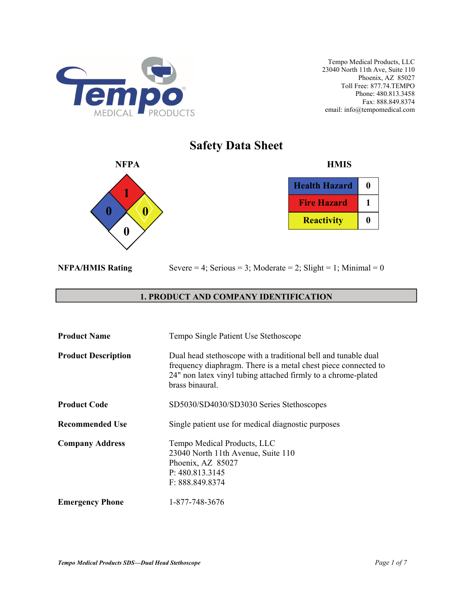

**Safety Data Sheet** 



| <b>Health Hazard</b> | o |
|----------------------|---|
| <b>Fire Hazard</b>   |   |
| <b>Reactivity</b>    |   |

|  | <b>NFPA/HMIS Rating</b> |
|--|-------------------------|

Severe  $= 4$ ; Serious  $= 3$ ; Moderate  $= 2$ ; Slight  $= 1$ ; Minimal  $= 0$ 

## **1. PRODUCT AND COMPANY IDENTIFICATION**

| <b>Product Name</b>        | Tempo Single Patient Use Stethoscope                                                                                                                                                                                 |
|----------------------------|----------------------------------------------------------------------------------------------------------------------------------------------------------------------------------------------------------------------|
| <b>Product Description</b> | Dual head stethoscope with a traditional bell and tunable dual<br>frequency diaphragm. There is a metal chest piece connected to<br>24" non latex vinyl tubing attached firmly to a chrome-plated<br>brass binaural. |
| <b>Product Code</b>        | SD5030/SD4030/SD3030 Series Stethoscopes                                                                                                                                                                             |
| <b>Recommended Use</b>     | Single patient use for medical diagnostic purposes                                                                                                                                                                   |
| <b>Company Address</b>     | Tempo Medical Products, LLC<br>23040 North 11th Avenue, Suite 110<br>Phoenix, AZ 85027<br>P: 480.813.3145<br>F: 888.849.8374                                                                                         |
| <b>Emergency Phone</b>     | 1-877-748-3676                                                                                                                                                                                                       |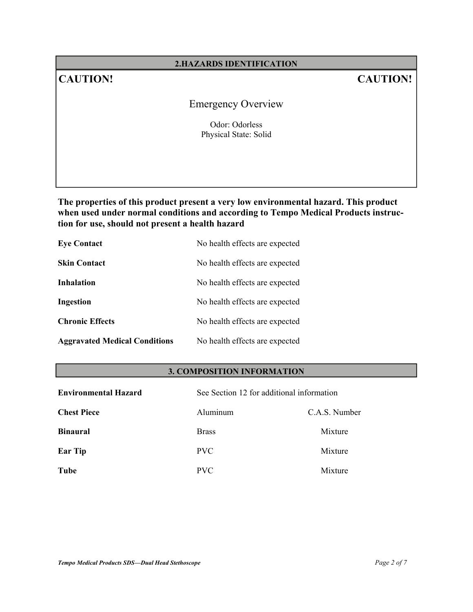## **2.HAZARDS IDENTIFICATION**

# **CAUTION! CAUTION!**

# Emergency Overview

Odor: Odorless Physical State: Solid

**The properties of this product present a very low environmental hazard. This product when used under normal conditions and according to Tempo Medical Products instruction for use, should not present a health hazard** 

| <b>Eye Contact</b>                   | No health effects are expected |
|--------------------------------------|--------------------------------|
| <b>Skin Contact</b>                  | No health effects are expected |
| <b>Inhalation</b>                    | No health effects are expected |
| Ingestion                            | No health effects are expected |
| <b>Chronic Effects</b>               | No health effects are expected |
| <b>Aggravated Medical Conditions</b> | No health effects are expected |

## **3. COMPOSITION INFORMATION**

| <b>Environmental Hazard</b> | See Section 12 for additional information |               |
|-----------------------------|-------------------------------------------|---------------|
| <b>Chest Piece</b>          | Aluminum                                  | C.A.S. Number |
| <b>Binaural</b>             | <b>Brass</b>                              | Mixture       |
| <b>Ear Tip</b>              | <b>PVC</b>                                | Mixture       |
| Tube                        | <b>PVC</b>                                | Mixture       |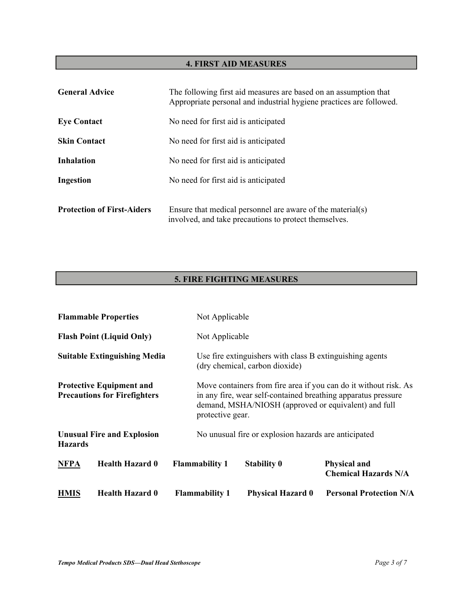## **4. FIRST AID MEASURES**

| <b>General Advice</b>             | The following first aid measures are based on an assumption that<br>Appropriate personal and industrial hygiene practices are followed. |
|-----------------------------------|-----------------------------------------------------------------------------------------------------------------------------------------|
| <b>Eye Contact</b>                | No need for first aid is anticipated                                                                                                    |
| <b>Skin Contact</b>               | No need for first aid is anticipated                                                                                                    |
| <b>Inhalation</b>                 | No need for first aid is anticipated                                                                                                    |
| Ingestion                         | No need for first aid is anticipated                                                                                                    |
| <b>Protection of First-Aiders</b> | Ensure that medical personnel are aware of the material(s)<br>involved, and take precautions to protect themselves.                     |

# **5. FIRE FIGHTING MEASURES**

| <b>HMIS</b>    | <b>Health Hazard 0</b>                                                 | <b>Flammability 1</b>                                                                                                                                                                                         | <b>Physical Hazard 0</b>                                                                   | <b>Personal Protection N/A</b>                     |
|----------------|------------------------------------------------------------------------|---------------------------------------------------------------------------------------------------------------------------------------------------------------------------------------------------------------|--------------------------------------------------------------------------------------------|----------------------------------------------------|
| <b>NFPA</b>    | <b>Health Hazard 0</b>                                                 | <b>Flammability 1</b>                                                                                                                                                                                         | <b>Stability 0</b>                                                                         | <b>Physical and</b><br><b>Chemical Hazards N/A</b> |
| <b>Hazards</b> | <b>Unusual Fire and Explosion</b>                                      |                                                                                                                                                                                                               | No unusual fire or explosion hazards are anticipated                                       |                                                    |
|                | <b>Protective Equipment and</b><br><b>Precautions for Firefighters</b> | Move containers from fire area if you can do it without risk. As<br>in any fire, wear self-contained breathing apparatus pressure<br>demand, MSHA/NIOSH (approved or equivalent) and full<br>protective gear. |                                                                                            |                                                    |
|                | <b>Suitable Extinguishing Media</b>                                    |                                                                                                                                                                                                               | Use fire extinguishers with class B extinguishing agents<br>(dry chemical, carbon dioxide) |                                                    |
|                | <b>Flash Point (Liquid Only)</b>                                       | Not Applicable                                                                                                                                                                                                |                                                                                            |                                                    |
|                | <b>Flammable Properties</b>                                            | Not Applicable                                                                                                                                                                                                |                                                                                            |                                                    |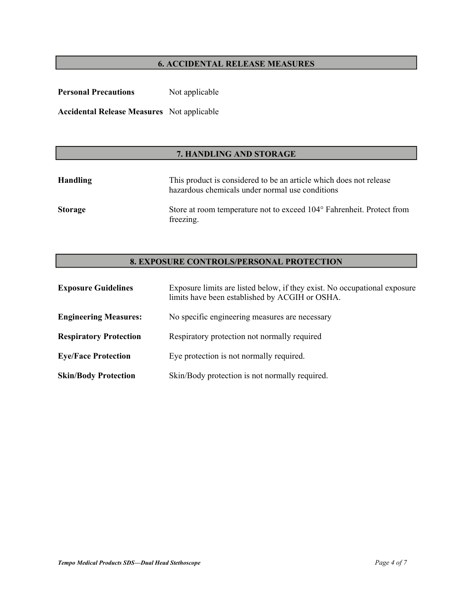## **6. ACCIDENTAL RELEASE MEASURES**

| <b>Personal Precautions</b>                       | Not applicable |
|---------------------------------------------------|----------------|
| <b>Accidental Release Measures</b> Not applicable |                |

## **7. HANDLING AND STORAGE**

| Handling       | This product is considered to be an article which does not release<br>hazardous chemicals under normal use conditions |
|----------------|-----------------------------------------------------------------------------------------------------------------------|
| <b>Storage</b> | Store at room temperature not to exceed 104° Fahrenheit. Protect from<br>freezing.                                    |

## **8. EXPOSURE CONTROLS/PERSONAL PROTECTION**

| <b>Exposure Guidelines</b>    | Exposure limits are listed below, if they exist. No occupational exposure<br>limits have been established by ACGIH or OSHA. |
|-------------------------------|-----------------------------------------------------------------------------------------------------------------------------|
| <b>Engineering Measures:</b>  | No specific engineering measures are necessary                                                                              |
| <b>Respiratory Protection</b> | Respiratory protection not normally required                                                                                |
| <b>Eye/Face Protection</b>    | Eye protection is not normally required.                                                                                    |
| <b>Skin/Body Protection</b>   | Skin/Body protection is not normally required.                                                                              |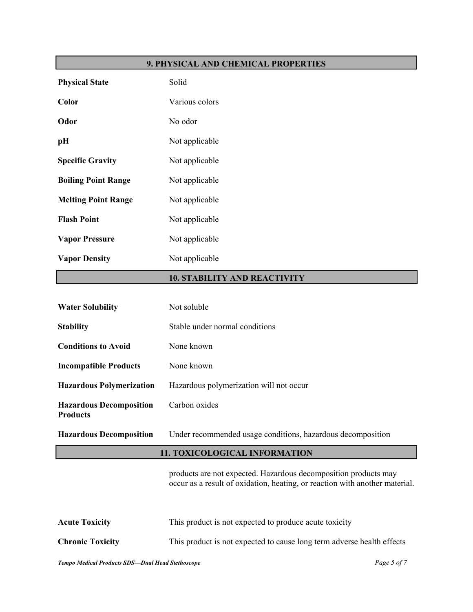## **9. PHYSICAL AND CHEMICAL PROPERTIES**

| <b>Physical State</b>      | Solid          |
|----------------------------|----------------|
| Color                      | Various colors |
| Odor                       | No odor        |
| pН                         | Not applicable |
| <b>Specific Gravity</b>    | Not applicable |
| <b>Boiling Point Range</b> | Not applicable |
| <b>Melting Point Range</b> | Not applicable |
| <b>Flash Point</b>         | Not applicable |
| <b>Vapor Pressure</b>      | Not applicable |
| <b>Vapor Density</b>       | Not applicable |

# **10. STABILITY AND REACTIVITY**

| <b>Water Solubility</b>                           | Not soluble                                                                                                                                    |  |
|---------------------------------------------------|------------------------------------------------------------------------------------------------------------------------------------------------|--|
| <b>Stability</b>                                  | Stable under normal conditions                                                                                                                 |  |
| <b>Conditions to Avoid</b>                        | None known                                                                                                                                     |  |
| <b>Incompatible Products</b>                      | None known                                                                                                                                     |  |
| <b>Hazardous Polymerization</b>                   | Hazardous polymerization will not occur                                                                                                        |  |
| <b>Hazardous Decomposition</b><br><b>Products</b> | Carbon oxides                                                                                                                                  |  |
| <b>Hazardous Decomposition</b>                    | Under recommended usage conditions, hazardous decomposition                                                                                    |  |
| <b>11. TOXICOLOGICAL INFORMATION</b>              |                                                                                                                                                |  |
|                                                   | products are not expected. Hazardous decomposition products may<br>occur as a result of oxidation, heating, or reaction with another material. |  |
| <b>Acute Toxicity</b>                             | This product is not expected to produce acute toxicity                                                                                         |  |
| <b>Chronic Toxicity</b>                           | This product is not expected to cause long term adverse health effects                                                                         |  |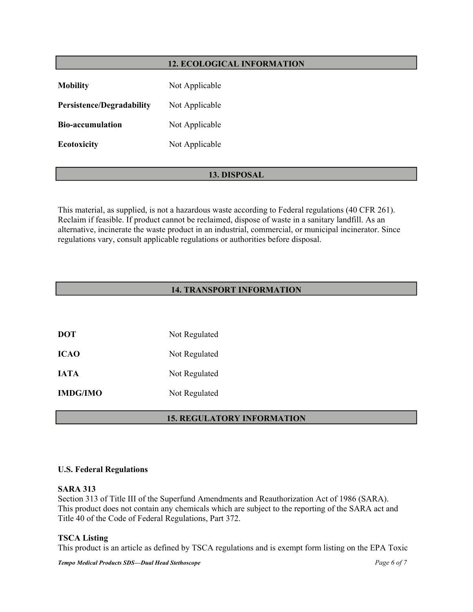## **12. ECOLOGICAL INFORMATION**

| <b>Mobility</b>                  | Not Applicable |
|----------------------------------|----------------|
| <b>Persistence/Degradability</b> | Not Applicable |
| <b>Bio-accumulation</b>          | Not Applicable |
| <b>Ecotoxicity</b>               | Not Applicable |

## **13. DISPOSAL**

This material, as supplied, is not a hazardous waste according to Federal regulations (40 CFR 261). Reclaim if feasible. If product cannot be reclaimed, dispose of waste in a sanitary landfill. As an alternative, incinerate the waste product in an industrial, commercial, or municipal incinerator. Since regulations vary, consult applicable regulations or authorities before disposal.

## **14. TRANSPORT INFORMATION**

| <b>DOT</b>      | Not Regulated |
|-----------------|---------------|
| <b>ICAO</b>     | Not Regulated |
| <b>IATA</b>     | Not Regulated |
| <b>IMDG/IMO</b> | Not Regulated |
|                 |               |

## **15. REGULATORY INFORMATION**

#### **U.S. Federal Regulations**

#### **SARA 313**

Section 313 of Title III of the Superfund Amendments and Reauthorization Act of 1986 (SARA). This product does not contain any chemicals which are subject to the reporting of the SARA act and Title 40 of the Code of Federal Regulations, Part 372.

#### **TSCA Listing**

This product is an article as defined by TSCA regulations and is exempt form listing on the EPA Toxic